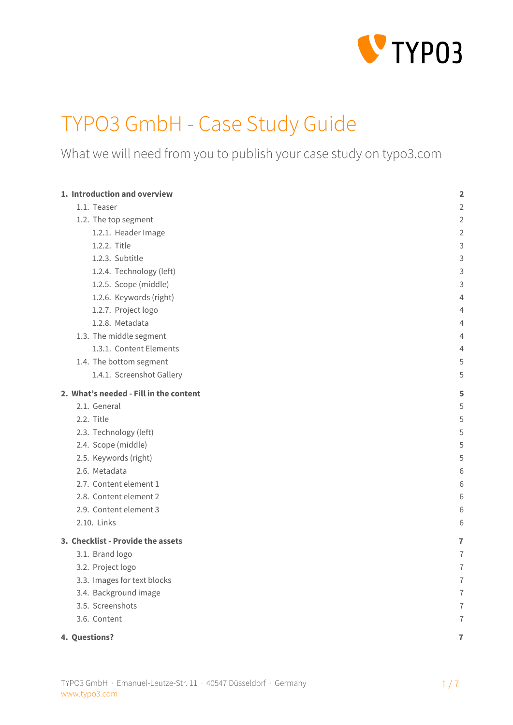

# TYPO3 GmbH - Case Study Guide

What we will need from you to publish your case study on typo3.com

| 1. Introduction and overview           | $\overline{\mathbf{2}}$ |
|----------------------------------------|-------------------------|
| 1.1. Teaser                            | $\overline{2}$          |
| 1.2. The top segment                   | $\overline{2}$          |
| 1.2.1. Header Image                    | 2                       |
| 1.2.2. Title                           | 3                       |
| 1.2.3. Subtitle                        | 3                       |
| 1.2.4. Technology (left)               | 3                       |
| 1.2.5. Scope (middle)                  | 3                       |
| 1.2.6. Keywords (right)                | 4                       |
| 1.2.7. Project logo                    | 4                       |
| 1.2.8. Metadata                        | 4                       |
| 1.3. The middle segment                | 4                       |
| 1.3.1. Content Elements                | 4                       |
| 1.4. The bottom segment                | 5                       |
| 1.4.1. Screenshot Gallery              | 5                       |
| 2. What's needed - Fill in the content | 5                       |
| 2.1. General                           | 5                       |
| 2.2. Title                             | 5                       |
| 2.3. Technology (left)                 | 5                       |
| 2.4. Scope (middle)                    | 5                       |
| 2.5. Keywords (right)                  | 5                       |
| 2.6. Metadata                          | 6                       |
| 2.7. Content element 1                 | 6                       |
| 2.8. Content element 2                 | 6                       |
| 2.9. Content element 3                 | 6                       |
| 2.10. Links                            | 6                       |
| 3. Checklist - Provide the assets      | 7                       |
| 3.1. Brand logo                        | 7                       |
| 3.2. Project logo                      | 7                       |
| 3.3. Images for text blocks            | $\overline{1}$          |
| 3.4. Background image                  | $\overline{1}$          |
| 3.5. Screenshots                       | $\overline{1}$          |
| 3.6. Content                           | $\overline{1}$          |
| 4. Questions?                          | $\overline{1}$          |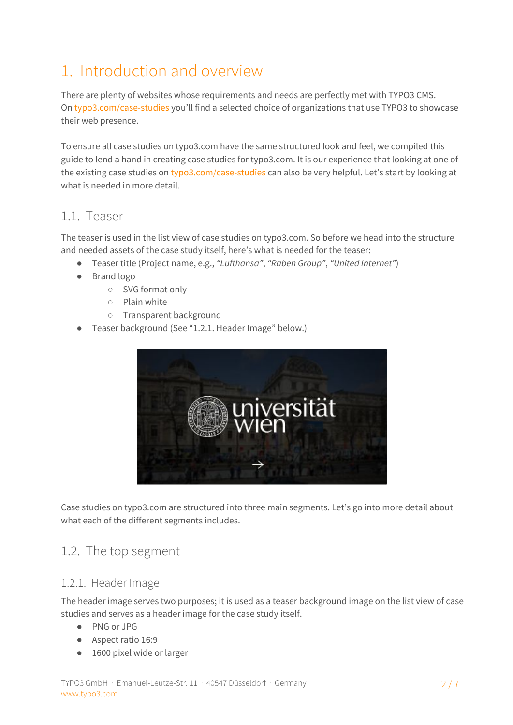## <span id="page-1-0"></span>1. Introduction and overview

There are plenty of websites whose requirements and needs are perfectly met with TYPO3 CMS. On [typo3.com/case-studies](https://typo3.com/case-studies/) you'll find a selected choice of organizations that use TYPO3 to showcase their web presence.

To ensure all case studies on typo3.com have the same structured look and feel, we compiled this guide to lend a hand in creating case studies for typo3.com. It is our experience that looking at one of the existing case studies on [typo3.com/case-studies](https://typo3.com/case-studies/) can also be very helpful. Let's start by looking at what is needed in more detail.

#### <span id="page-1-1"></span>1.1. Teaser

The teaser is used in the list view of case studies on typo3.com. So before we head into the structure and needed assets of the case study itself, here's what is needed for the teaser:

- Teaser title (Project name, e.g., *"Lufthansa"*, *"Raben Group"*, *"United Internet"*)
- Brand logo
	- SVG format only
	- Plain white
	- Transparent background
- Teaser background (See "1.2.1. Header Image" below.)



Case studies on typo3.com are structured into three main segments. Let's go into more detail about what each of the different segments includes.

#### <span id="page-1-2"></span>1.2. The top segment

#### <span id="page-1-3"></span>1.2.1. Header Image

The header image serves two purposes; it is used as a teaser background image on the list view of case studies and serves as a header image for the case study itself.

- PNG or JPG
- Aspect ratio 16:9
- 1600 pixel wide or larger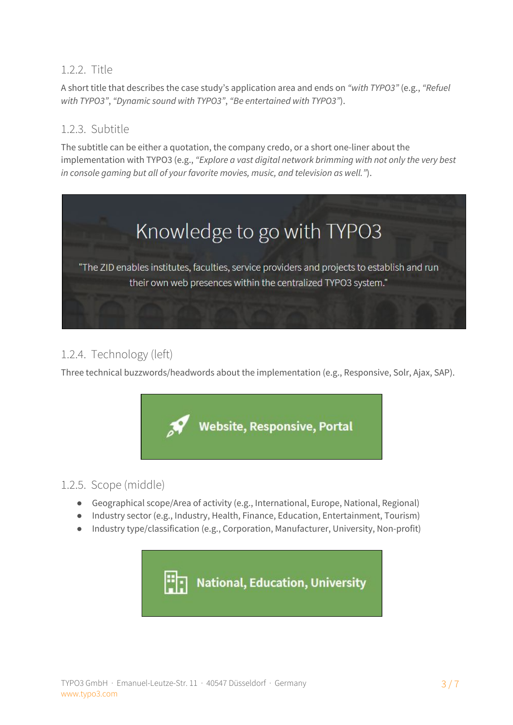#### <span id="page-2-0"></span>1.2.2. Title

A short title that describes the case study's application area and ends on *"with TYPO3"* (e.g., *"Refuel with TYPO3"*, *"Dynamic sound with TYPO3"*, *"Be entertained with TYPO3"*).

#### <span id="page-2-1"></span>1.2.3. Subtitle

The subtitle can be either a quotation, the company credo, or a short one-liner about the implementation with TYPO3 (e.g., *"Explore a vast digital network brimming with not only the very best in console gaming but all of your favorite movies, music, and television as well."*).



#### <span id="page-2-2"></span>1.2.4. Technology (left)

Three technical buzzwords/headwords about the implementation (e.g., Responsive, Solr, Ajax, SAP).



#### <span id="page-2-3"></span>1.2.5. Scope (middle)

- Geographical scope/Area of activity (e.g., International, Europe, National, Regional)
- Industry sector (e.g., Industry, Health, Finance, Education, Entertainment, Tourism)
- Industry type/classification (e.g., Corporation, Manufacturer, University, Non-profit)

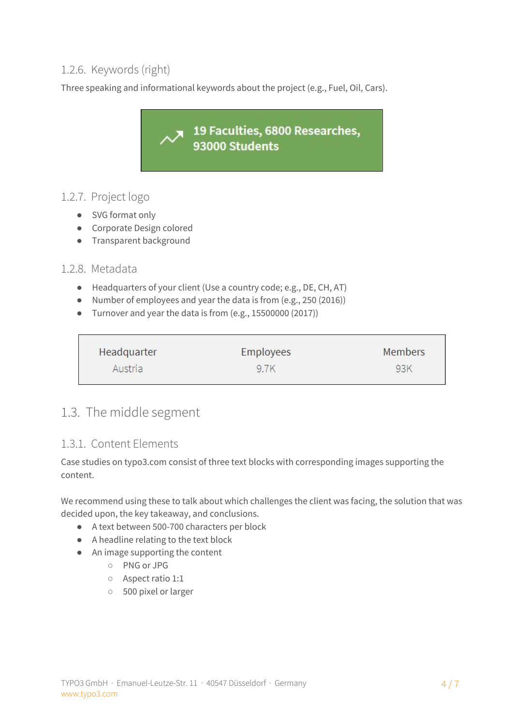#### <span id="page-3-0"></span>1.2.6. Keywords (right)

Three speaking and informational keywords about the project (e.g., Fuel, Oil, Cars).

19 Faculties, 6800 Researches, 93000 Students

#### <span id="page-3-1"></span>1.2.7. Project logo

- SVG format only
- Corporate Design colored
- Transparent background

#### <span id="page-3-2"></span>1.2.8. Metadata

- Headquarters of your client (Use a country code; e.g., DE, CH, AT)
- Number of employees and year the data is from (e.g., 250 (2016))
- Turnover and year the data is from (e.g., 15500000 (2017))

| Headquarter | <b>Employees</b> | <b>Members</b> |
|-------------|------------------|----------------|
| Austria     | 9.7K             | 93K            |

### <span id="page-3-3"></span>1.3. The middle segment

#### <span id="page-3-4"></span>1.3.1. Content Elements

Case studies on typo3.com consist of three text blocks with corresponding images supporting the content.

We recommend using these to talk about which challenges the client was facing, the solution that was decided upon, the key takeaway, and conclusions.

- A text between 500-700 characters per block
- A headline relating to the text block
- An image supporting the content
	- PNG or JPG
	- Aspect ratio 1:1
	- 500 pixel or larger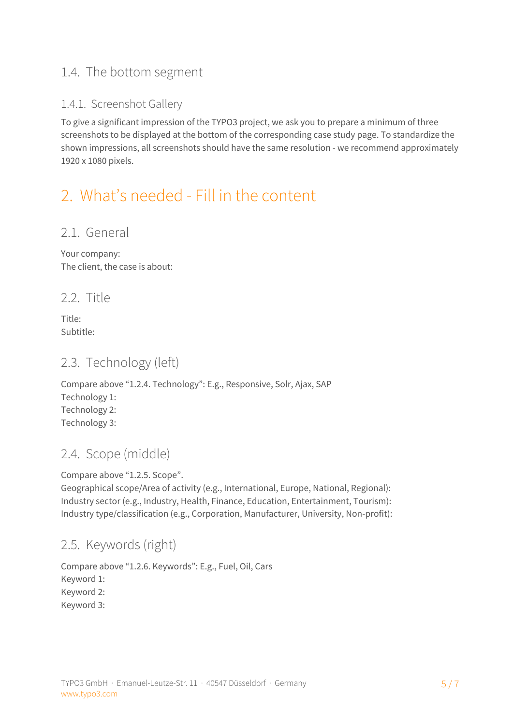## <span id="page-4-0"></span>1.4. The bottom segment

#### <span id="page-4-1"></span>1.4.1. Screenshot Gallery

To give a significant impression of the TYPO3 project, we ask you to prepare a minimum of three screenshots to be displayed at the bottom of the corresponding case study page. To standardize the shown impressions, all screenshots should have the same resolution - we recommend approximately 1920 x 1080 pixels.

## <span id="page-4-2"></span>2. What's needed - Fill in the content

#### <span id="page-4-3"></span>2.1. General

Your company: The client, the case is about:

<span id="page-4-4"></span>2.2. Title

Title: Subtitle:

### <span id="page-4-5"></span>2.3. Technology (left)

Compare above "1.2.4. Technology": E.g., Responsive, Solr, Ajax, SAP Technology 1: Technology 2: Technology 3:

## <span id="page-4-6"></span>2.4. Scope (middle)

Compare above "1.2.5. Scope".

Geographical scope/Area of activity (e.g., International, Europe, National, Regional): Industry sector (e.g., Industry, Health, Finance, Education, Entertainment, Tourism): Industry type/classification (e.g., Corporation, Manufacturer, University, Non-profit):

### <span id="page-4-7"></span>2.5. Keywords (right)

Compare above "1.2.6. Keywords": E.g., Fuel, Oil, Cars Keyword 1: Keyword 2: Keyword 3: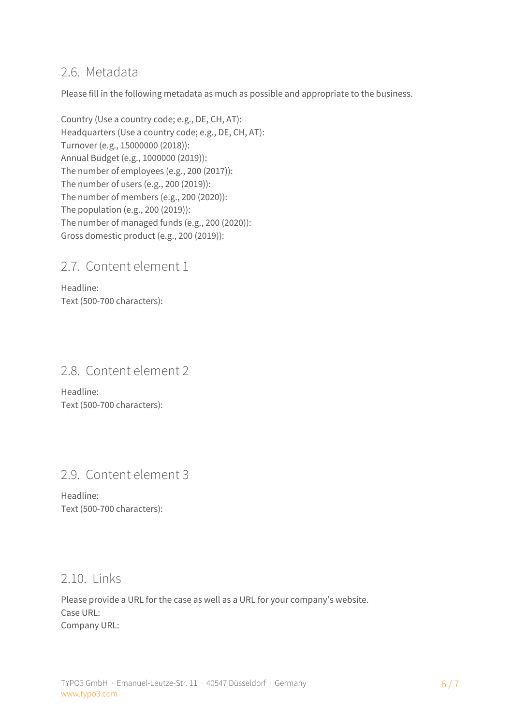#### <span id="page-5-0"></span>2.6. Metadata

Please fill in the following metadata as much as possible and appropriate to the business.

Country (Use a country code; e.g., DE, CH, AT): Headquarters (Use a country code; e.g., DE, CH, AT): Turnover (e.g., 15000000 (2018)): Annual Budget (e.g., 1000000 (2019)): The number of employees (e.g., 200 (2017)): The number of users (e.g., 200 (2019)): The number of members (e.g., 200 (2020)): The population (e.g., 200 (2019)): The number of managed funds (e.g., 200 (2020)): Gross domestic product (e.g., 200 (2019)):

### <span id="page-5-1"></span>2.7. Content element 1

Headline: Text (500-700 characters):

### <span id="page-5-2"></span>2.8. Content element 2

Headline: Text (500-700 characters):

### <span id="page-5-3"></span>2.9. Content element 3

Headline: Text (500-700 characters):

#### <span id="page-5-4"></span>2.10. Links

Please provide a URL for the case as well as a URL for your company's website. Case URL: Company URL: